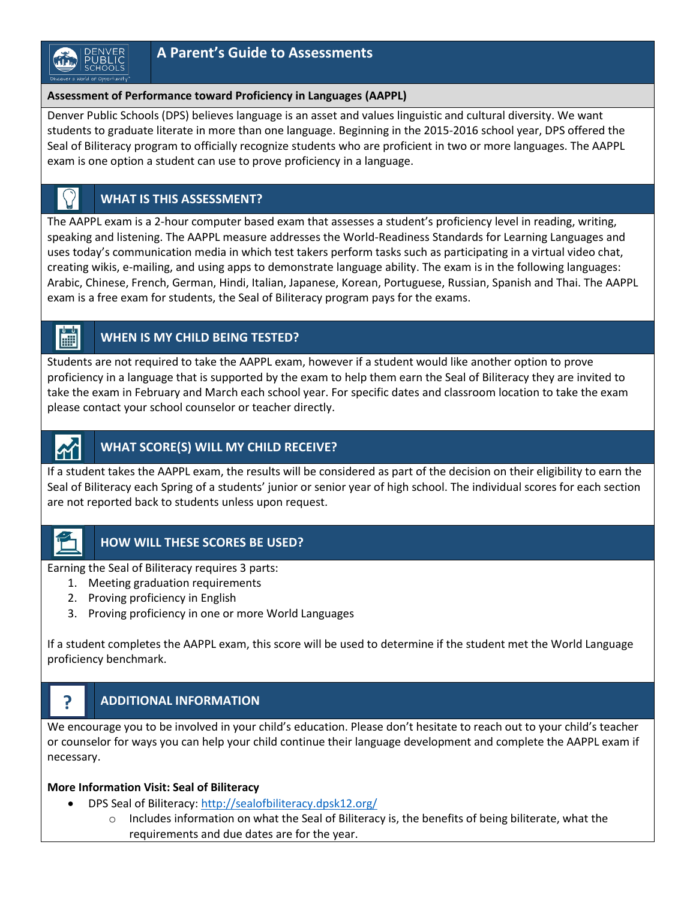#### **Assessment of Performance toward Proficiency in Languages (AAPPL)**

Denver Public Schools (DPS) believes language is an asset and values linguistic and cultural diversity. We want students to graduate literate in more than one language. Beginning in the 2015-2016 school year, DPS offered the Seal of Biliteracy program to officially recognize students who are proficient in two or more languages. The AAPPL exam is one option a student can use to prove proficiency in a language.

# **WHAT IS THIS ASSESSMENT?**

The AAPPL exam is a 2-hour computer based exam that assesses a student's proficiency level in reading, writing, speaking and listening. The AAPPL measure addresses the World-Readiness Standards for Learning Languages and uses today's communication media in which test takers perform tasks such as participating in a virtual video chat, creating wikis, e-mailing, and using apps to demonstrate language ability. The exam is in the following languages: Arabic, Chinese, French, German, Hindi, Italian, Japanese, Korean, Portuguese, Russian, Spanish and Thai. The AAPPL exam is a free exam for students, the Seal of Biliteracy program pays for the exams.

#### H **WHEN IS MY CHILD BEING TESTED?**

Students are not required to take the AAPPL exam, however if a student would like another option to prove proficiency in a language that is supported by the exam to help them earn the Seal of Biliteracy they are invited to take the exam in February and March each school year. For specific dates and classroom location to take the exam please contact your school counselor or teacher directly.

## **WHAT SCORE(S) WILL MY CHILD RECEIVE?**

If a student takes the AAPPL exam, the results will be considered as part of the decision on their eligibility to earn the Seal of Biliteracy each Spring of a students' junior or senior year of high school. The individual scores for each section are not reported back to students unless upon request.

**?**

### **HOW WILL THESE SCORES BE USED?**

Earning the Seal of Biliteracy requires 3 parts:

- 1. Meeting graduation requirements
- 2. Proving proficiency in English
- 3. Proving proficiency in one or more World Languages

If a student completes the AAPPL exam, this score will be used to determine if the student met the World Language proficiency benchmark.

# **ADDITIONAL INFORMATION**

We encourage you to be involved in your child's education. Please don't hesitate to reach out to your child's teacher or counselor for ways you can help your child continue their language development and complete the AAPPL exam if necessary.

### **More Information Visit: Seal of Biliteracy**

- DPS Seal of Biliteracy:<http://sealofbiliteracy.dpsk12.org/>
	- $\circ$  Includes information on what the Seal of Biliteracy is, the benefits of being biliterate, what the requirements and due dates are for the year.